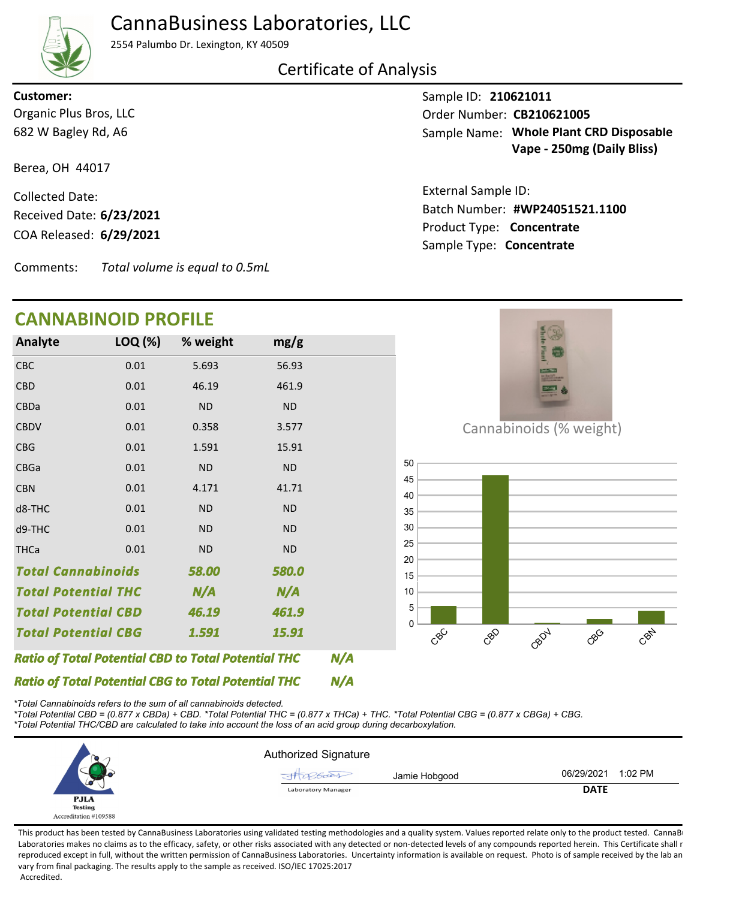## CannaBusiness Laboratories, LLC

2554 Palumbo Dr. Lexington, KY 40509

#### Certificate of Analysis

682 W Bagley Rd, A6 Organic Plus Bros, LLC **Customer:**

Berea, OH 44017

COA Released: Collected Date: Received Date: **6/23/2021**

Comments: *Total volume is equal to 0.5mL*

### **CANNABINOID PROFILE**

Sample ID: **210621011** Sample Name: Whole Plant CRD Disposable **Vape - 250mg (Daily Bliss)** Order Number: CB210621005

Product Type: **Concentrate 6/29/2021 #WP24051521.1100** Batch Number: External Sample ID: Sample Type: **Concentrate**



*\*Total Cannabinoids refers to the sum of all cannabinoids detected.*

*\*Total Potential CBD = (0.877 x CBDa) + CBD. \*Total Potential THC = (0.877 x THCa) + THC. \*Total Potential CBG = (0.877 x CBGa) + CBG. \*Total Potential THC/CBD are calculated to take into account the loss of an acid group during decarboxylation.*

|                       | <b>Authorized Signature</b> |                       |
|-----------------------|-----------------------------|-----------------------|
|                       | JH 286001<br>Jamie Hobgood  | 1:02 PM<br>06/29/2021 |
| م                     | <b>Laboratory Manager</b>   | <b>DATE</b>           |
| <b>PJLA</b>           |                             |                       |
| <b>Testing</b>        |                             |                       |
| Accreditation #109588 |                             |                       |

This product has been tested by CannaBusiness Laboratories using validated testing methodologies and a quality system. Values reported relate only to the product tested. CannaBusiness Laboratories makes no claims as to the efficacy, safety, or other risks associated with any detected or non-detected levels of any compounds reported herein. This Certificate shall r reproduced except in full, without the written permission of CannaBusiness Laboratories. Uncertainty information is available on request. Photo is of sample received by the lab an vary from final packaging. The results apply to the sample as received. ISO/IEC 17025:2017 Accredited.